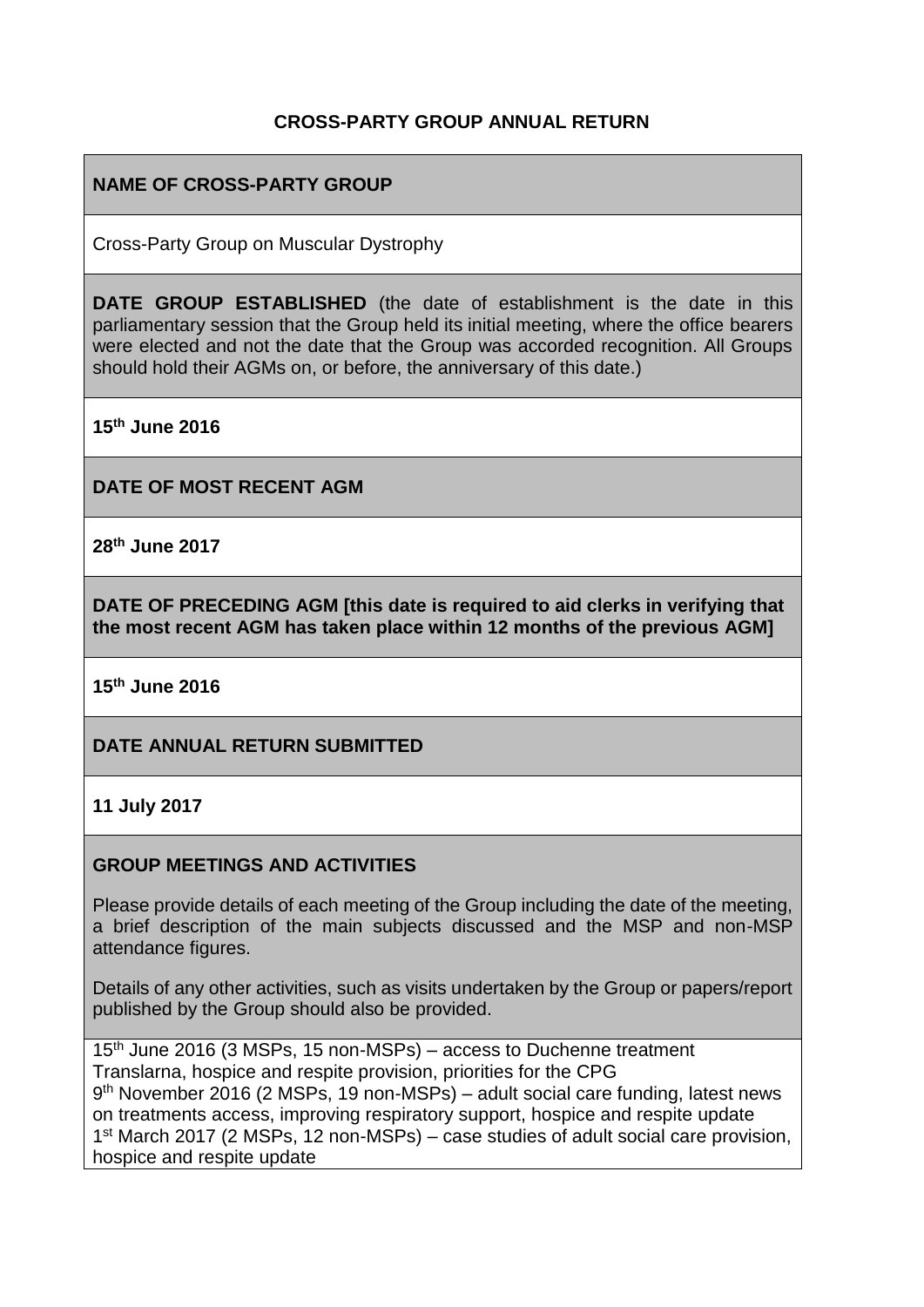# **CROSS-PARTY GROUP ANNUAL RETURN**

# **NAME OF CROSS-PARTY GROUP**

Cross-Party Group on Muscular Dystrophy

**DATE GROUP ESTABLISHED** (the date of establishment is the date in this parliamentary session that the Group held its initial meeting, where the office bearers were elected and not the date that the Group was accorded recognition. All Groups should hold their AGMs on, or before, the anniversary of this date.)

**15th June 2016**

**DATE OF MOST RECENT AGM**

**28th June 2017**

**DATE OF PRECEDING AGM [this date is required to aid clerks in verifying that the most recent AGM has taken place within 12 months of the previous AGM]**

**15th June 2016**

**DATE ANNUAL RETURN SUBMITTED**

#### **11 July 2017**

# **GROUP MEETINGS AND ACTIVITIES**

Please provide details of each meeting of the Group including the date of the meeting, a brief description of the main subjects discussed and the MSP and non-MSP attendance figures.

Details of any other activities, such as visits undertaken by the Group or papers/report published by the Group should also be provided.

15th June 2016 (3 MSPs, 15 non-MSPs) – access to Duchenne treatment Translarna, hospice and respite provision, priorities for the CPG 9 th November 2016 (2 MSPs, 19 non-MSPs) – adult social care funding, latest news on treatments access, improving respiratory support, hospice and respite update 1 st March 2017 (2 MSPs, 12 non-MSPs) – case studies of adult social care provision, hospice and respite update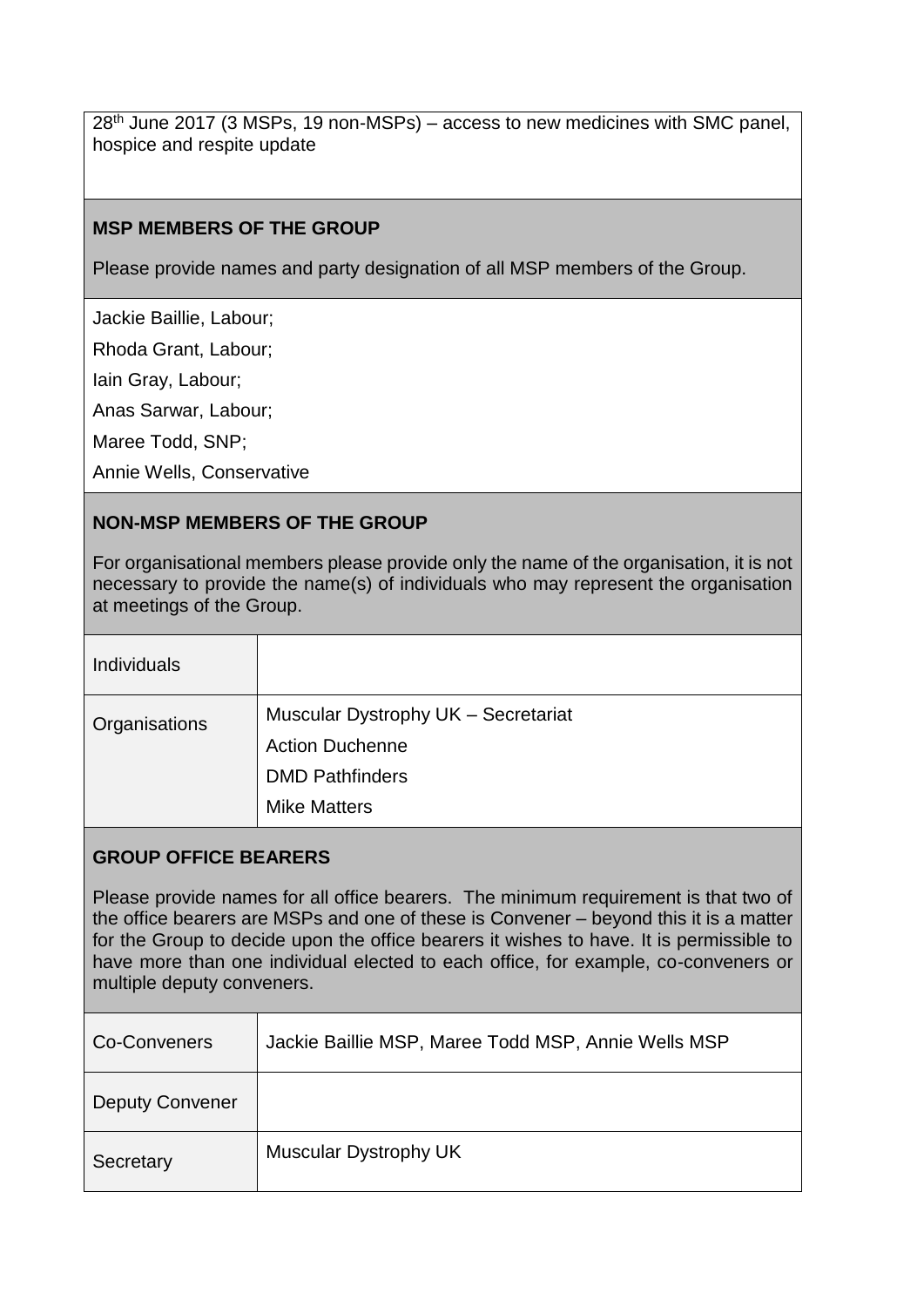28<sup>th</sup> June 2017 (3 MSPs, 19 non-MSPs) – access to new medicines with SMC panel, hospice and respite update

### **MSP MEMBERS OF THE GROUP**

Please provide names and party designation of all MSP members of the Group.

Jackie Baillie, Labour;

Rhoda Grant, Labour;

Iain Gray, Labour;

Anas Sarwar, Labour;

Maree Todd, SNP;

Annie Wells, Conservative

# **NON-MSP MEMBERS OF THE GROUP**

For organisational members please provide only the name of the organisation, it is not necessary to provide the name(s) of individuals who may represent the organisation at meetings of the Group.

| <b>Individuals</b> |                                                                                                                |
|--------------------|----------------------------------------------------------------------------------------------------------------|
| Organisations      | Muscular Dystrophy UK - Secretariat<br><b>Action Duchenne</b><br><b>DMD Pathfinders</b><br><b>Mike Matters</b> |

# **GROUP OFFICE BEARERS**

Please provide names for all office bearers. The minimum requirement is that two of the office bearers are MSPs and one of these is Convener – beyond this it is a matter for the Group to decide upon the office bearers it wishes to have. It is permissible to have more than one individual elected to each office, for example, co-conveners or multiple deputy conveners.

| Co-Conveners           | Jackie Baillie MSP, Maree Todd MSP, Annie Wells MSP |
|------------------------|-----------------------------------------------------|
| <b>Deputy Convener</b> |                                                     |
| Secretary              | Muscular Dystrophy UK                               |